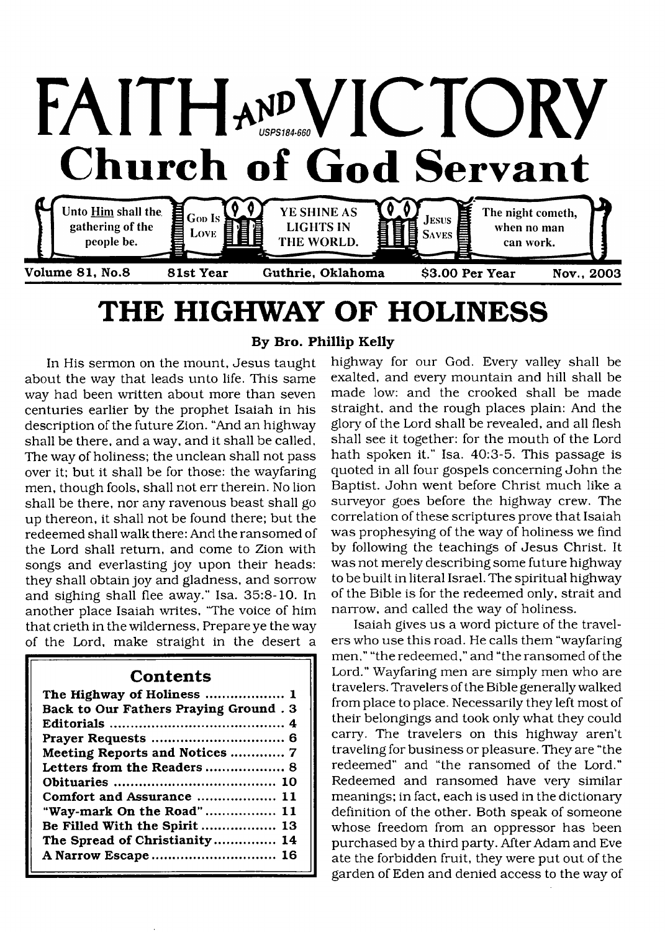

# <span id="page-0-0"></span>**THE HIGHWAY OF HOLINESS**

In His sermon on the mount, Jesus taught about the way that leads unto life. This same way had been written about more than seven centuries earlier by the prophet Isaiah in his description of the future Zion. "And an highway shall be there, and a way, and it shall be called. The way of holiness; the unclean shall not pass over it; but it shall be for those: the wayfaring men, though fools, shall not err therein. No lion shall be there, nor any ravenous beast shall go up thereon, it shall not be found there; but the redeemed shall walk there: And the ransomed of the Lord shall return, and come to Zion with songs and everlasting joy upon their heads: they shall obtain joy and gladness, and sorrow and sighing shall flee away." Isa. 35:8-10. In another place Isaiah writes, 'The voice of him that crieth in the wilderness, Prepare ye the way of the Lord, make straight in the desert a

### **Contents**

| The Highway of Holiness  1            |
|---------------------------------------|
| Back to Our Fathers Praying Ground. 3 |
|                                       |
|                                       |
| Meeting Reports and Notices  7        |
|                                       |
|                                       |
| Comfort and Assurance  11             |
| "Way-mark On the Road"  11            |
| Be Filled With the Spirit  13         |
| The Spread of Christianity 14         |
| A Narrow Escape 16                    |

### **By Bro. Phillip Kelly**

highway for our God. Every valley shall be exalted, and every mountain and hill shall be made low: and the crooked shall be made straight, and the rough places plain: And the glory of the Lord shall be revealed, and all flesh shall see it together: for the mouth of the Lord hath spoken it." Isa. 40:3-5. This passage is quoted in all four gospels concerning John the Baptist. John went before Christ much like a surveyor goes before the highway crew. The correlation of these scriptures prove that Isaiah was prophesying of the way of holiness we find by following the teachings of Jesus Christ. It was not merely describing some future highway to be built in literal Israel. The spiritual highway of the Bible is for the redeemed only, strait and narrow, and called the way of holiness.

Isaiah gives us a word picture of the travelers who use this road. He calls them "wayfaring men," "the redeemed," and "the ransomed of the Lord." Wayfaring men are simply men who are travelers. Travelers of the Bible generally walked from place to place. Necessarily they left most of their belongings and took only what they could carry. The travelers on this highway aren't traveling for business or pleasure. They are "the redeemed" and "the ransomed of the Lord." Redeemed and ransomed have very similar meanings; in fact, each is used in the dictionary definition of the other. Both speak of someone whose freedom from an oppressor has been purchased by a third party. After Adam and Eve ate the forbidden fruit, they were put out of the garden of Eden and denied access to the way of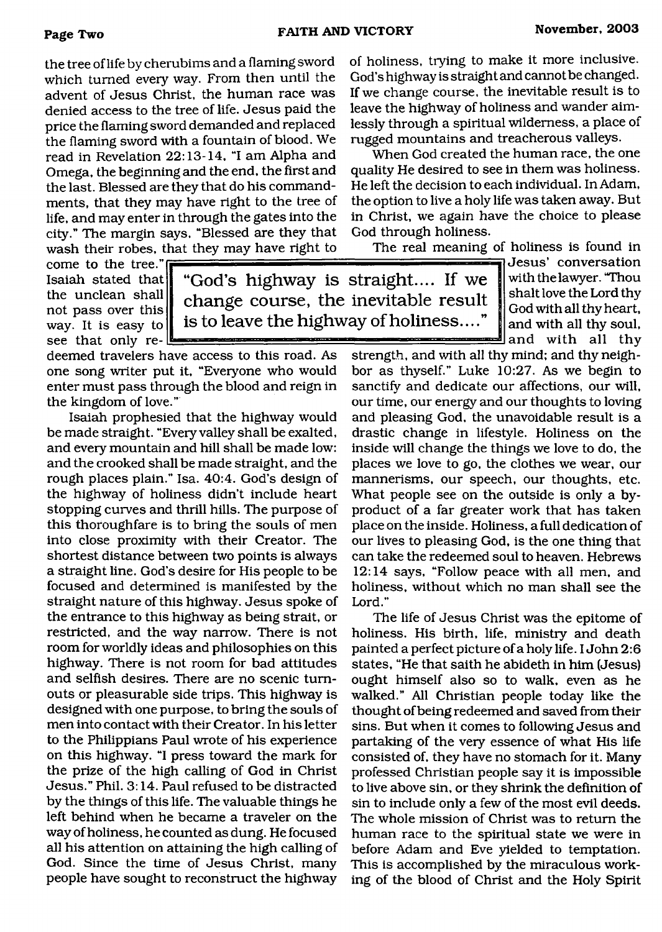the tree of life by cherubims and a flaming sword which turned every way. From then until the advent of Jesus Christ, the human race was denied access to the tree of life. Jesus paid the price the flaming sword demanded and replaced the flaming sword with a fountain of blood. We read in Revelation 22:13-14, "I am Alpha and Omega, the beginning and the end, the first and the last. Blessed are they that do his commandments, that they may have right to the tree of life, and may enter in through the gates into the city." The margin says, "Blessed are they that wash their robes, that they may have right to

come to the tree." Isaiah stated that the unclean shall not pass over this way. It is easy to see that only re-

**"God 's highway is straight.... If we change course, the inevitable result is to leave the highway of holiness...."**

deemed travelers have access to this road. As one song writer put it, "Everyone who would enter must pass through the blood and reign in the kingdom of love."

Isaiah prophesied that the highway would be made straight. "Every valley shall be exalted, and every mountain and hill shall be made low: and the crooked shall be made straight, and the rough places plain." Isa. 40:4. God's design of the highway of holiness didn't include heart stopping curves and thrill hills. The purpose of this thoroughfare is to bring the souls of men into close proximity with their Creator. The shortest distance between two points is always a straight line. God's desire for His people to be focused and determined is manifested by the straight nature of this highway. Jesus spoke of the entrance to this highway as being strait, or restricted, and the way narrow. There is not room for worldly ideas and philosophies on this highway. There is not room for bad attitudes and selfish desires. There are no scenic turnouts or pleasurable side trips. This highway is designed with one purpose, to bring the souls of men into contact with their Creator. In his letter to the Philippians Paul wrote of his experience on this highway. "I press toward the mark for the prize of the high calling of God in Christ Jesus." Phil. 3:14. Paul refused to be distracted by the things of this life. The valuable things he left behind when he became a traveler on the way of holiness, he counted as dung. He focused all his attention on attaining the high calling of God. Since the time of Jesus Christ, many people have sought to reconstruct the highway

of holiness, trying to make it more inclusive. God's highway is straight and cannot be changed. If we change course, the inevitable result is to leave the highway of holiness and wander aimlessly through a spiritual wilderness, a place of rugged mountains and treacherous valleys.

When God created the human race, the one quality He desired to see in them was holiness. He left the decision to each individual. In Adam, the option to live a holy life was taken away. But in Christ, we again have the choice to please God through holiness.

The real meaning of holiness is found in

Jesus' conversation with the lawyer. "Thou shalt love the Lord thy God with all thy heart, and with all thy soul,  $\blacksquare$  and with all thy

strength, and with all thy mind; and thy neighbor as thyself." Luke 10:27. As we begin to sanctify and dedicate our affections, our will, our time, our energy and our thoughts to loving and pleasing God, the unavoidable result is a drastic change in lifestyle. Holiness on the inside will change the things we love to do, the places we love to go, the clothes we wear, our mannerisms, our speech, our thoughts, etc. What people see on the outside is only a byproduct of a far greater work that has taken place on the inside. Holiness, a full dedication of our lives to pleasing God, is the one thing that can take the redeemed soul to heaven. Hebrews 12:14 says, "Follow peace with all men, and holiness, without which no man shall see the Lord."

The life of Jesus Christ was the epitome of holiness. His birth, life, ministry and death painted a perfect picture of a holy life. I John 2:6 states, "He that saith he abideth in him (Jesus) ought himself also so to walk, even as he walked." All Christian people today like the thought of being redeemed and saved from their sins. But when it comes to following Jesus and partaking of the very essence of what His life consisted of, they have no stomach for it. Many professed Christian people say it is impossible to live above sin, or they shrink the definition of sin to include only a few of the most evil deeds. The whole mission of Christ was to return the human race to the spiritual state we were in before Adam and Eve yielded to temptation. This is accomplished by the miraculous working of the blood of Christ and the Holy Spirit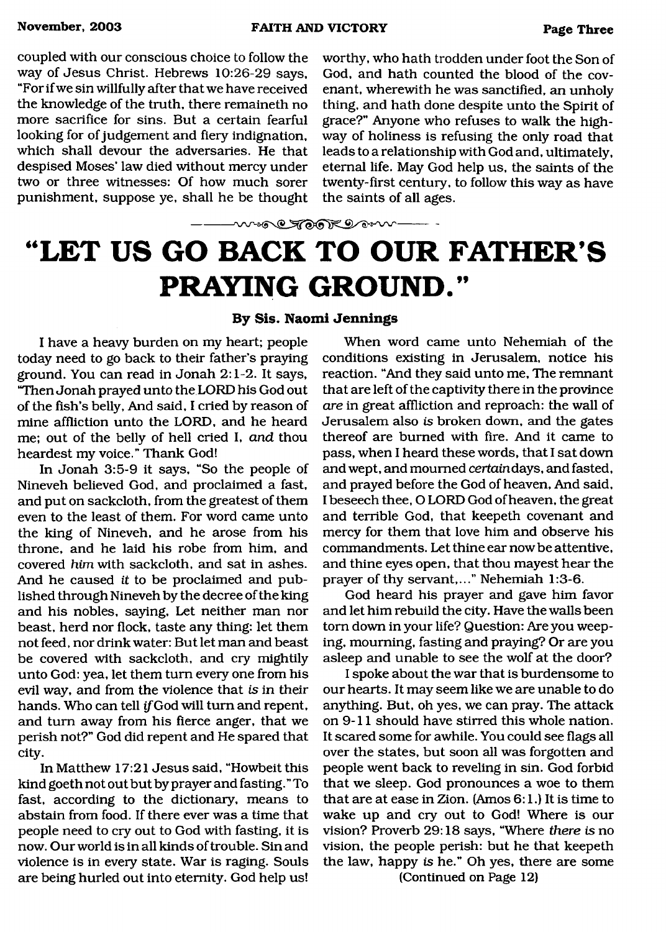**November, 2003 FAITH AND VICTORY Page Three**

coupled with our conscious choice to follow the way of Jesus Christ. Hebrews 10:26-29 says, "For if we sin willfully after that we have received the knowledge of the truth, there remaineth no more sacrifice for sins. But a certain fearful looking for of judgement and fiery indignation, which shall devour the adversaries. He that despised Moses' law died without mercy under two or three witnesses: Of how much sorer punishment, suppose ye, shall he be thought

worthy, who hath trodden under foot the Son of God, and hath counted the blood of the covenant, wherewith he was sanctified, an unholy thing, and hath done despite unto the Spirit of grace?" Anyone who refuses to walk the highway of holiness is refusing the only road that leads to a relationship with God and, ultimately, eternal life. May God help us, the saints of the twenty-first century, to follow this way as have the saints of all ages.

# **"LET US GO BACK TO OUR FATHER'S PRATING GROUND."**

wore TOAK Down

#### **By Sis. Naomi Jennings**

I have a heavy burden on my heart; people today need to go back to their father's praying ground. You can read in Jonah 2:1-2. It says, "Then Jonah prayed unto the LORD his God out of the fish's belly, And said, I cried by reason of mine affliction unto the LORD, and he heard me; out of the belly of hell cried I, *and* thou heardest my voice." Thank God!

In Jonah 3:5-9 it says, "So the people of Nineveh believed God, and proclaimed a fast, and put on sackcloth, from the greatest of them even to the least of them. For word came unto the king of Nineveh, and he arose from his throne, and he laid his robe from him, and covered *him* with sackcloth, and sat in ashes. And he caused *it* to be proclaimed and published through Nineveh by the decree of the king and his nobles, saying. Let neither man nor beast, herd nor flock, taste any thing: let them not feed, nor drink water: But let man and beast be covered with sackcloth, and cry mightily unto God: yea, let them turn every one from his evil way, and from the violence that *is* in their hands. Who can tell if God will turn and repent, and turn away from his fierce anger, that we perish not?" God did repent and He spared that city.

In Matthew 17:21 Jesus said, "Howbeit this kind goeth not out but by prayer and fasting." To fast, according to the dictionary, means to abstain from food. If there ever was a time that people need to cry out to God with fasting, it is now. Our world is in all kinds of trouble. Sin and violence is in every state. War is raging. Souls are being hurled out into eternity. God help us!

When word came unto Nehemiah of the conditions existing in Jerusalem, notice his reaction. "And they said unto me, The remnant that are left of the captivity there in the province *are* in great affliction and reproach: the wall of Jerusalem also *is* broken down, and the gates thereof are burned with fire. And it came to pass, when I heard these words, that I sat down and wept, and mourned ceriaindays, and fasted, and prayed before the God of heaven, And said, I beseech thee, O LORD God of heaven, the great and terrible God, that keepeth covenant and mercy for them that love him and observe his commandments. Let thine ear now be attentive, and thine eyes open, that thou mayest hear the prayer of thy servant,..." Nehemiah 1:3-6.

God heard his prayer and gave him favor and let him rebuild the city. Have the walls been tom down in your life? Question: Are you weeping, mourning, fasting and praying? Or are you asleep and unable to see the wolf at the door?

I spoke about the war that is burdensome to our hearts. It may seem like we are unable to do anything. But, oh yes, we can pray. The attack on 9-11 should have stirred this whole nation. It scared some for awhile. You could see flags all over the states, but soon all was forgotten and people went back to reveling in sin. God forbid that we sleep. God pronounces a woe to them that are at ease in Zion. (Amos 6:1.) It is time to wake up and cry out to God! Where is our vision? Proverb 29:18 says, "Where *there is* no vision, the people perish: but he that keepeth the law, happy is he." Oh yes, there are some

(Continued on Page 12)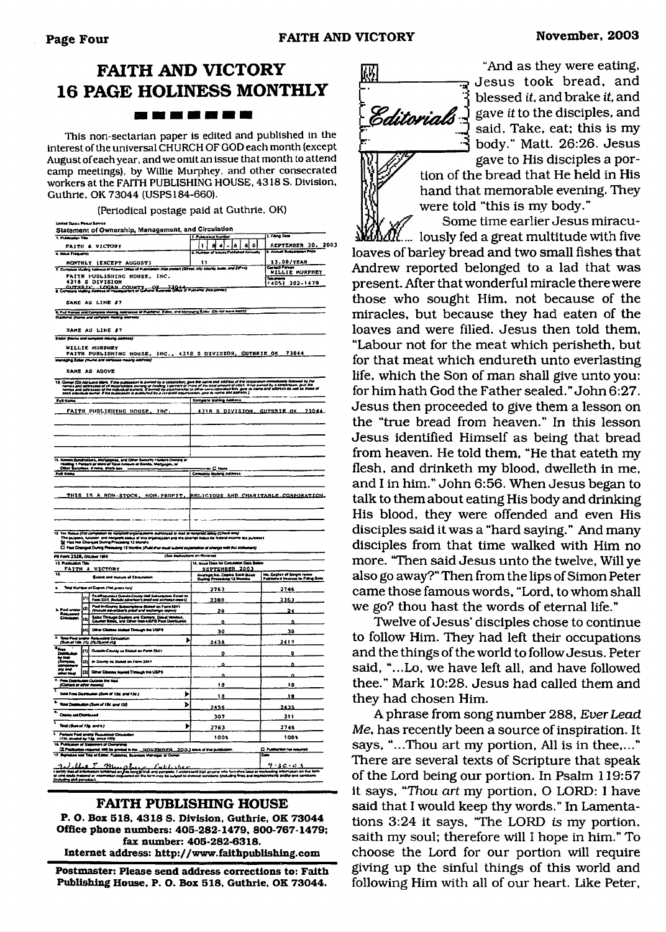# **FAITH AND VICTORY 16 PAGE HOLINESS MONTHLY**

#### -------

This non-sectarian paper is edited and published in the interest of the universal CHURCH OF GOD each month (except August of each year, and we omit an issue that month to attend camp meetings), by Willie Murphey, and other consecrated workers at the FAITH PUBLISHING HOUSE, 4318 S. Division, Guthrie, OK 73044 (USPS184-660).

(Periodical postage paid at Guthrie, OK)

| 1. Publication Tree                                                                                                                                                        |     | Statement of Ownership, Management, and Circulation                                                                                                                                                                                  | 2 Publication Municip                                      | 3. Fana Dete                                                   |
|----------------------------------------------------------------------------------------------------------------------------------------------------------------------------|-----|--------------------------------------------------------------------------------------------------------------------------------------------------------------------------------------------------------------------------------------|------------------------------------------------------------|----------------------------------------------------------------|
|                                                                                                                                                                            |     | <b>FAITH &amp; VICTORY</b>                                                                                                                                                                                                           | $ 1 $ a $ 4 $ - $ 6 $<br>اه اه                             | SEPTEMBER 30, 2003                                             |
| 4. Ideas Frequency                                                                                                                                                         |     |                                                                                                                                                                                                                                      | ᠊<br>÷                                                     | <b><i>Annual Subsequent Price</i></b>                          |
|                                                                                                                                                                            |     | MONTHLY (EXCEPT AUGUST)                                                                                                                                                                                                              | 11                                                         | \$3.00/YEAR                                                    |
|                                                                                                                                                                            |     | 7. Company Malling Address of Known Office of Puercenters (Foot proter) (Street city county, asset, and ZiP+4)                                                                                                                       |                                                            | WILLIE MURPHEY                                                 |
| FAITH PUBLISHING HOUSE, INC.                                                                                                                                               |     |                                                                                                                                                                                                                                      |                                                            | $\frac{1}{14051}$ 202-1479                                     |
| 4318 S DIVISION<br>Computer Localis COUNTY Computer 2014 b Pointe Pictures                                                                                                 |     |                                                                                                                                                                                                                                      |                                                            |                                                                |
|                                                                                                                                                                            |     |                                                                                                                                                                                                                                      |                                                            |                                                                |
|                                                                                                                                                                            |     | SAME AS LINE #7                                                                                                                                                                                                                      |                                                            |                                                                |
| and the                                                                                                                                                                    | --- | 9. Full Marias and Campions Moong Addressed of Publisher, Editor, and Managing Ecasy (Do not move blond)<br>man a<br>- -                                                                                                             |                                                            |                                                                |
|                                                                                                                                                                            |     |                                                                                                                                                                                                                                      |                                                            |                                                                |
|                                                                                                                                                                            |     | SAME AS LINE #7                                                                                                                                                                                                                      |                                                            |                                                                |
|                                                                                                                                                                            |     | Eddor (Risma and annulate mining address)                                                                                                                                                                                            |                                                            |                                                                |
|                                                                                                                                                                            |     | WILLIE MURPHEY<br>FAITH PUBLISHING HOUSE, INC., 4318 S DIVISION, GUTHRIE OK 73044                                                                                                                                                    |                                                            |                                                                |
|                                                                                                                                                                            |     | Mandolina Editor (Hunta and compless masing address)                                                                                                                                                                                 |                                                            |                                                                |
|                                                                                                                                                                            |     | <b>SAME AS ABOVE</b>                                                                                                                                                                                                                 |                                                            |                                                                |
|                                                                                                                                                                            |     |                                                                                                                                                                                                                                      |                                                            |                                                                |
|                                                                                                                                                                            |     | 11. Deset Constitute Man, Eley electron le ceret les competits plus l'in est adjuste d'un ampre mentalelle baned le<br>10. Deset des allestins d'el laphatique enverg al halleg i perien a mor al un autorit à l'act. Il na perdi    |                                                            |                                                                |
| <b>Full Name</b>                                                                                                                                                           |     |                                                                                                                                                                                                                                      | <b>Compate Making Address</b>                              |                                                                |
|                                                                                                                                                                            |     |                                                                                                                                                                                                                                      |                                                            |                                                                |
|                                                                                                                                                                            |     | FAITH PUBLISHING HOUSE. INC.                                                                                                                                                                                                         | <u>4318 S DIVISION. GUTHRIE OK</u>                         | 73044                                                          |
|                                                                                                                                                                            |     |                                                                                                                                                                                                                                      |                                                            |                                                                |
|                                                                                                                                                                            |     |                                                                                                                                                                                                                                      |                                                            |                                                                |
|                                                                                                                                                                            |     |                                                                                                                                                                                                                                      |                                                            |                                                                |
|                                                                                                                                                                            |     |                                                                                                                                                                                                                                      |                                                            |                                                                |
| 11. Kao                                                                                                                                                                    |     |                                                                                                                                                                                                                                      |                                                            |                                                                |
|                                                                                                                                                                            |     | Kooms Bandhabless, Marijagoes, and Other Seaurity Haiders Demond of<br>Hidding 1 Persons or Mark of Tatal Ameurik at Bandis, Merigagoe, ar<br>Diber Seaurises, divides, directs bes                                                  | + C mm                                                     |                                                                |
| <b>Full Koma</b>                                                                                                                                                           |     |                                                                                                                                                                                                                                      | Complete Meding Address                                    |                                                                |
|                                                                                                                                                                            |     |                                                                                                                                                                                                                                      |                                                            |                                                                |
|                                                                                                                                                                            |     |                                                                                                                                                                                                                                      |                                                            |                                                                |
|                                                                                                                                                                            |     | THIS IS A NON-STOCK, NON-PROFIT.                                                                                                                                                                                                     |                                                            | RELIGIOUS AND CHARITABLE CORPOBATION.                          |
|                                                                                                                                                                            |     |                                                                                                                                                                                                                                      |                                                            |                                                                |
|                                                                                                                                                                            |     |                                                                                                                                                                                                                                      |                                                            |                                                                |
|                                                                                                                                                                            |     |                                                                                                                                                                                                                                      |                                                            |                                                                |
|                                                                                                                                                                            |     |                                                                                                                                                                                                                                      |                                                            |                                                                |
|                                                                                                                                                                            |     |                                                                                                                                                                                                                                      |                                                            |                                                                |
|                                                                                                                                                                            |     | 13. Tas Statis (för undgatan by ingegnet oppstanden in den ovan in mal at statistikelig (Chad ans)<br>- St. Pe pugnes, Sundan, and nangeds siska af this organization at the desempt malis til 1699-1600 to ta punk<br>- Cl. Has Cha |                                                            |                                                                |
| PS Fort 3528, October 1919                                                                                                                                                 |     | (See instructors on Reverse)                                                                                                                                                                                                         |                                                            |                                                                |
|                                                                                                                                                                            |     | FAITH A VICTORY                                                                                                                                                                                                                      | 14. Issue Date for Cetaration Data Baltim                  |                                                                |
|                                                                                                                                                                            |     | Extent and Hoture of Circulation                                                                                                                                                                                                     | SEPTEMBER 2003                                             | Ho. Copies of Single James<br>Published Hearcat in Filing Date |
|                                                                                                                                                                            |     |                                                                                                                                                                                                                                      | Angrage No. Copies Each Muse<br>During Preseding 13 Months |                                                                |
|                                                                                                                                                                            |     | a. Total Number of Copies (Mal press nut)                                                                                                                                                                                            | 2763                                                       | 2746                                                           |
|                                                                                                                                                                            |     | (1) PadRamonind Chardio County that Enhancement Estat or<br>Form 3511, Onclude advertiser's proof and aschange copy of                                                                                                               | 2380                                                       | 2361                                                           |
|                                                                                                                                                                            | (2) | Paul In-County Subscriptions Stated on Ferra 3341<br>(Include advertiser's proof and exchange copies)                                                                                                                                | 28                                                         | 24                                                             |
|                                                                                                                                                                            | lm  | Sales Through Dealers and Cerners, Clinat Hendors,<br>Counter Bales, and Other Han-UEPG Paid Detroution                                                                                                                              | $\ddot{\phantom{0}}$                                       | Ď                                                              |
|                                                                                                                                                                            | (4) | Direr Classes Mated Through the USPS                                                                                                                                                                                                 | 30                                                         | 30                                                             |
|                                                                                                                                                                            |     | ۱                                                                                                                                                                                                                                    |                                                            |                                                                |
|                                                                                                                                                                            |     | The Pad searc Requested Crossmon<br>(Sum of the (1) (2),(2),and (4))                                                                                                                                                                 | 2438                                                       | 2417                                                           |
| ä                                                                                                                                                                          |     | [1] Outside County as Stated on Form 3541                                                                                                                                                                                            | o                                                          | Q                                                              |
| ń,                                                                                                                                                                         | lan | In County on Distant on Form 3341                                                                                                                                                                                                    | $\Omega$                                                   | n                                                              |
|                                                                                                                                                                            |     | [23] Direr Cleane Maries Trength the USPS                                                                                                                                                                                            | o                                                          | $\mathbf{a}$                                                   |
|                                                                                                                                                                            |     | Free Deal-budge Dutson the Mast<br>(Chifters or other means)                                                                                                                                                                         | 18                                                         | 18                                                             |
|                                                                                                                                                                            |     | Total Free Dicktouten (Sum of 15d, and 15o )<br>ь                                                                                                                                                                                    |                                                            |                                                                |
|                                                                                                                                                                            |     |                                                                                                                                                                                                                                      | <u>18</u>                                                  | 18                                                             |
|                                                                                                                                                                            |     | Total Desmution (Sum of 13c and 150)<br>,                                                                                                                                                                                            | 2456                                                       | 2435                                                           |
| 13 Publication Tale<br>$\overline{\mathbf{u}}$<br><b>b.</b> Pad andro<br>Requested<br>Considers<br>tan<br>Pengun<br>疆<br>22,<br>τ,<br>τ<br>s.<br>Clemes and Clembused<br>۳ |     |                                                                                                                                                                                                                                      | 307                                                        | 311                                                            |
| Total (Sum of 15g, and h.)                                                                                                                                                 |     | Þ                                                                                                                                                                                                                                    | 2763                                                       | 2746                                                           |
|                                                                                                                                                                            |     |                                                                                                                                                                                                                                      | 1001                                                       | 1003                                                           |
|                                                                                                                                                                            |     | Percare Paul angles Proposition Christman<br>(104 grouped by 18g, smoot 102)<br>16. Publication of Elephonent of Chungrange                                                                                                          |                                                            |                                                                |
| $\overline{\mathbf{u}}$                                                                                                                                                    |     | IX Publication required. Will be product to the<br>NOVEMBER 2003 said the picketen<br>deres, Out<br>and The office<br>- 62<br>                                                                                                       |                                                            | <b>C</b> Published not resumed<br>ъ.                           |
|                                                                                                                                                                            |     |                                                                                                                                                                                                                                      |                                                            |                                                                |

#### **FAITH PUBLISHING HOUSE**

**P. O. Box 518, 4318 S. Division, Guthrie, OK 73044 Office phone numbers: 405-282-1479, 800-767-1479; fax number: 405-282-6318.**

**Internet address: <http://www.faithpublishing.com>**

**Postmaster: Please send address corrections to: Faith Publishing House, P. O. Box 518, Guthrie, OK 73044.**



"And as they were eating, Jesus took bread, and blessed *it,* and brake *it,* and said. Take, eat; this is my body." Matt. 26:26. Jesus gave to His disciples a por-

tion of the bread that He held in His hand that memorable evening. They were told "this is my body."

Some time earlier Jesus miraculously fed a great multitude with five loaves of barley bread and two small fishes that Andrew reported belonged to a lad that was present. After that wonderful miracle there were those who sought Him, not because of the miracles, but because they had eaten of the loaves and were filled. Jesus then told them, "Labour not for the meat which perisheth, but for that meat which endureth unto everlasting life, which the Son of man shall give unto you: for him hath God the Father sealed." John 6:27. Jesus then proceeded to give them a lesson on the "true bread from heaven." In this lesson Jesus identified Himself as being that bread from heaven. He told them, "He that eateth my flesh, and drinketh my blood, dwelleth in me, and I in him." John 6:56. When Jesus began to talk to them about eating His body and drinking His blood, they were offended and even His disciples said it was a "hard saying." And many disciples from that time walked with Him no more. "Then said Jesus unto the twelve, Will ye also go away?" Then from the lips of Simon Peter came those famous words, "Lord, to whom shall we go? thou hast the words of eternal life."

Twelve of Jesus' disciples chose to continue to follow Him. They had left their occupations and the things of the world to follow Jesus. Peter said, "...Lo, we have left all, and have followed thee." Mark 10:28. Jesus had called them and they had chosen Him.

A phrase from song number 288, *Ever Lead Me,* has recently been a source of inspiration. It says, "...Thou art my portion, All is in thee,..." There are several texts of Scripture that speak of the Lord being our portion. In Psalm 119:57 it says, "Thou *art* my portion, O LORD: I have said that I would keep thy words." In Lamentations 3:24 it says, "The LORD *is* my portion, saith my soul; therefore will I hope in him." To choose the Lord for our portion will require giving up the sinful things of this world and following Him with all of our heart. Like Peter,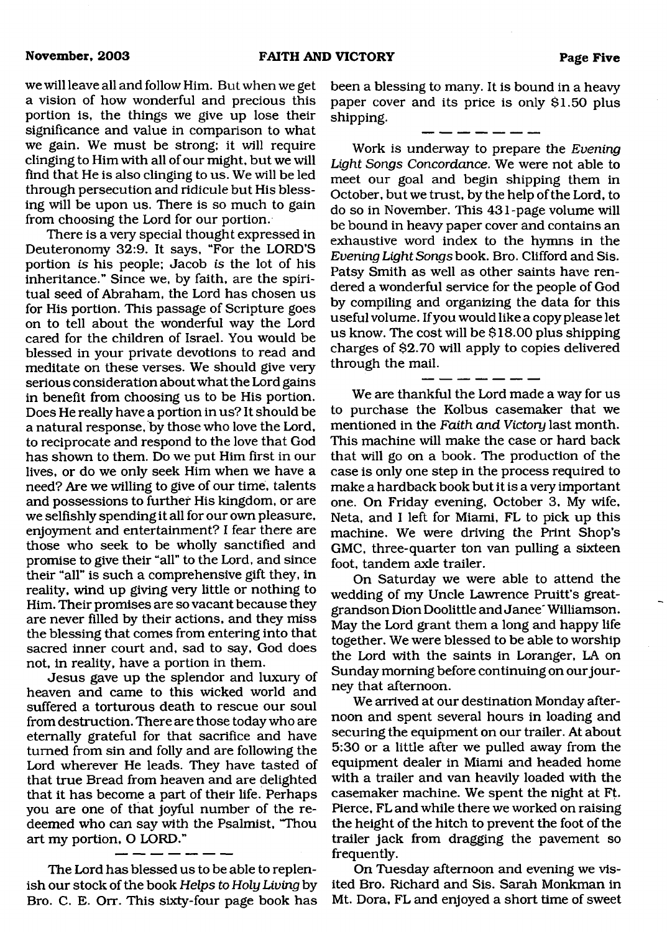we will leave all and follow Him. But when we get a vision of how wonderful and precious this portion is, the things we give up lose their significance and value in comparison to what we gain. We must be strong; it will require clinging to Him with all of our might, but we will find that He is also clinging to us. We will be led through persecution and ridicule but His blessing will be upon us. There is so much to gain from choosing the Lord for our portion.

There is a very special thought expressed in Deuteronomy 32:9. It says, "For the LORD'S portion *is* his people; Jacob *is* the lot of his inheritance." Since we, by faith, are the spiritual seed of Abraham, the Lord has chosen us for His portion. This passage of Scripture goes on to tell about the wonderful way the Lord cared for the children of Israel. You would be blessed in your private devotions to read and meditate on these verses. We should give very serious consideration about what the Lord gains in benefit from choosing us to be His portion. Does He really have a portion in us? It should be a natural response, by those who love the Lord, to reciprocate and respond to the love that God has shown to them. Do we put Him first in our lives, or do we only seek Him when we have a need? Are we willing to give of our time, talents and possessions to further His kingdom, or are we selfishly spending it all for our own pleasure, enjoyment and entertainment? I fear there are those who seek to be wholly sanctified and promise to give their "all" to the Lord, and since their "all" is such a comprehensive gift they, in reality, wind up giving very little or nothing to Him. Their promises are so vacant because they are never filled by their actions, and they miss the blessing that comes from entering into that sacred inner court and, sad to say, God does not, in reality, have a portion in them.

Jesus gave up the splendor and luxury of heaven and came to this wicked world and suffered a torturous death to rescue our soul from destruction. There are those today who are eternally grateful for that sacrifice and have turned from sin and folly and are following the Lord wherever He leads. They have tasted of that true Bread from heaven and are delighted that it has become a part of their life. Perhaps you are one of that joyful number of the redeemed who can say with the Psalmist, "Thou art my portion, O LORD."

The Lord has blessed us to be able to replenish our stock of the book *Helps to Holy Living* by Bro. C. E. Orr. This sixty-four page book has been a blessing to many. It is bound in a heavy paper cover and its price is only \$1.50 plus shipping.

والمناولين المساريسين

Work is underway to prepare the *Evening Light Songs Concordance.* We were not able to meet our goal and begin shipping them in October, but we trust, by the help of the Lord, to do so in November. This 431-page volume will be bound in heavy paper cover and contains an exhaustive word index to the hymns in the *Evening Light Songs* book. Bro. Clifford and Sis. Patsy Smith as well as other saints have rendered a wonderful service for the people of God by compiling and organizing the data for this useful volume. If you would like a copy please let us know. The cost will be \$18.00 plus shipping charges of \$2.70 will apply to copies delivered through the mail.

We are thankful the Lord made a way for us to purchase the Kolbus casemaker that we mentioned in the *Faith and Victory* last month. This machine will make the case or hard back that will go on a book. The production of the case is only one step in the process required to make a hardback book but it is a very important one. On Friday evening, October 3, My wife, Neta, and I left for Miami, FL to pick up this machine. We were driving the Print Shop's GMC, three-quarter ton van pulling a sixteen foot, tandem axle trailer.

On Saturday we were able to attend the wedding of my Uncle Lawrence Pruitt's greatgrandson Dion Doolittle and Janee' Williamson. May the Lord grant them a long and happy life together. We were blessed to be able to worship the Lord with the saints in Loranger, LA on Sunday morning before continuing on our journey that afternoon.

We arrived at our destination Monday afternoon and spent several hours in loading and securing the equipment on our trailer. At about 5:30 or a little after we pulled away from the equipment dealer in Miami and headed home with a trailer and van heavily loaded with the casemaker machine. We spent the night at Ft. Pierce, FL and while there we worked on raising the height of the hitch to prevent the foot of the trailer jack from dragging the pavement so frequently.

On Tuesday afternoon and evening we visited Bro. Richard and Sis. Sarah Monkman in Mt. Dora, FL and enjoyed a short time of sweet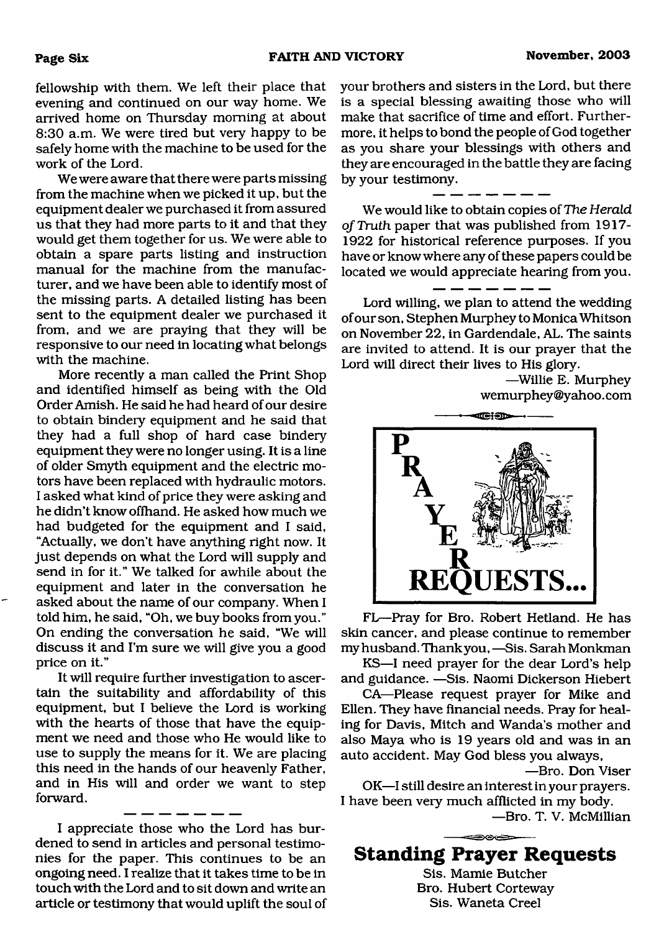fellowship with them. We left their place that evening and continued on our way home. We arrived home on Thursday morning at about 8:30 a.m. We were tired but very happy to be safely home with the machine to be used for the work of the Lord.

We were aware that there were parts missing from the machine when we picked it up, but the equipment dealer we purchased it from assured us that they had more parts to it and that they would get them together for us. We were able to obtain a spare parts listing and instruction manual for the machine from the manufacturer, and we have been able to identify most of the missing parts. A detailed listing has been sent to the equipment dealer we purchased it from, and we are praying that they will be responsive to our need in locating what belongs with the machine.

More recently a man called the Print Shop and identified himself as being with the Old Order Amish. He said he had heard of our desire to obtain bindery equipment and he said that they had a full shop of hard case bindery equipment they were no longer using. It is a line of older Smyth equipment and the electric motors have been replaced with hydraulic motors. I asked what kind of price they were asking and he didn't know offhand. He asked how much we had budgeted for the equipment and I said, "Actually, we don't have anything right now. It just depends on what the Lord will supply and send in for it." We talked for awhile about the equipment and later in the conversation he asked about the name of our company. When I told him, he said, "Oh, we buy books from you." On ending the conversation he said, "We will discuss it and I'm sure we will give you a good price on it."

It will require further investigation to ascertain the suitability and affordability of this equipment, but I believe the Lord is working with the hearts of those that have the equipment we need and those who He would like to use to supply the means for it. We are placing this need in the hands of our heavenly Father, and in His will and order we want to step forward.

I appreciate those who the Lord has burdened to send in articles and personal testimonies for the paper. This continues to be an ongoing need. I realize that it takes time to be in touch with the Lord and to sit down and write an article or testimony that would uplift the soul of your brothers and sisters in the Lord, but there is a special blessing awaiting those who will make that sacrifice of time and effort. Furthermore, it helps to bond the people of God together as you share your blessings with others and they are encouraged in the battle they are facing by your testimony.

We would like to obtain copies of *The Herald*

*of Truth* paper that was published from 1917- 1922 for historical reference purposes. If you have or know where any of these papers could be located we would appreciate hearing from you.

Lord willing, we plan to attend the wedding of our son, Stephen Murphey to Monica Whitson on November 22, in Gardendale, AL. The saints are invited to attend. It is our prayer that the Lord will direct their lives to His glory.

> —Willie E. Murphey wemurphey@yahoo. com



FL—Pray for Bro. Robert Hetland. He has skin cancer, and please continue to remember my husband. Thank you, —Sis. Sarah Monkman

KS—I need prayer for the dear Lord's help and guidance. —Sis. Naomi Dickerson Hiebert

CA—Please request prayer for Mike and Ellen. They have financial needs. Pray for healing for Davis, Mitch and Wanda's mother and also Maya who is 19 years old and was in an auto accident. May God bless you always,

—Bro. Don Viser

OK—I still desire an interest in your prayers. I have been very much afflicted in my body.

—Bro. T. V. McMillian

# **Standing Prayer Requests**

Sis. Mamie Butcher Bro. Hubert Corteway Sis. Waneta Creel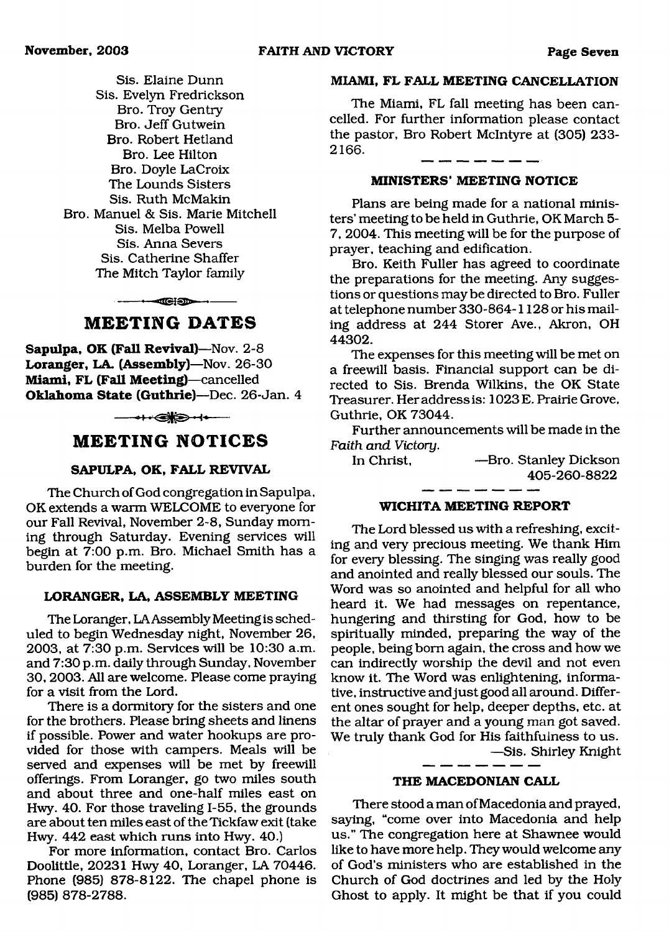Sis. Elaine Dunn Sis. Evelyn Fredrickson Bro. Troy Gentry Bro. Jeff Gutwein Bro. Robert Hetland Bro. Lee Hilton Bro. Doyle LaCroix The Lounds Sisters Sis. Ruth McMakin Bro. Manuel & Sis. Marie Mitchell Sis. Melba Powell Sis. Anna Severs Sis. Catherine Shaffer The Mitch Taylor family

 $- - -$ 

### **M EETING DATES**

**Sapulpa, OK (Fall Revival)**—Nov. 2-8 **Loranger, LA. (Assembly)**—Nov. 26-30 **Miami, FL (Fall Meeting)**—cancelled **Oklahoma State (Guthrie)**—Dec. 26-Jan. 4

# ---- -------------------

## **M EETING NOTICES**

#### **SAPULPA, OK, FALL REVIVAL**

The Church of God congregation in Sapulpa, OK extends a warm WELCOME to everyone for our Fall Revival, November 2-8, Sunday morning through Saturday. Evening services will begin at 7:00 p.m. Bro. Michael Smith has a burden for the meeting.

### **LORANGER, LA, ASSEMBLY MEETING**

The Loranger, LA Assembly Meeting is scheduled to begin Wednesday night, November 26, 2003, at 7:30 p.m. Services will be 10:30 a.m. and 7:30 p.m. daily through Sunday, November 30, 2003. All are welcome. Please come praying for a visit from the Lord.

There is a dormitory for the sisters and one for the brothers. Please bring sheets and linens if possible. Power and water hookups are provided for those with campers. Meals will be served and expenses will be met by freewill offerings. From Loranger, go two miles south and about three and one-half miles east on Hwy. 40. For those traveling 1-55, the grounds are about ten miles east of the Tickfaw exit (take Hwy. 442 east which runs into Hwy. 40.)

For more information, contact Bro. Carlos Doolittle, 20231 Hwy 40, Loranger, LA 70446. Phone (985) 878-8122. The chapel phone is (985) 878-2788.

#### **MIAMI, FL FALL MEETING CANCELLATION**

The Miami, FL fall meeting has been cancelled. For further information please contact the pastor, Bro Robert McIntyre at (305) 233- 2166.

#### **MINISTERS' MEETING NOTICE**

Plans are being made for a national ministers' meeting to be held in Guthrie, OK March 5- 7, 2004. This meeting will be for the purpose of prayer, teaching and edification.

Bro. Keith Fuller has agreed to coordinate the preparations for the meeting. Any suggestions or questions may be directed to Bro. Fuller at telephone number 330-864-1128 or his mailing address at 244 Storer Ave., Akron, OH 44302.

The expenses for this meeting will be met on a freewill basis. Financial support can be directed to Sis. Brenda Wilkins, the OK State Treasurer. Her address is: 1023E. Prairie Grove, Guthrie, OK 73044.

Further announcements will be made in the *Faith and Victory.*

In Christ, —Bro. Stanley Dickson 405-260-8822

#### **W ICHITA MEETING REPORT**

The Lord blessed us with a refreshing, exciting and very precious meeting. We thank Him for every blessing. The singing was really good and anointed and really blessed our souls. The Word was so anointed and helpful for all who heard it. We had messages on repentance, hungering and thirsting for God, how to be spiritually minded, preparing the way of the people, being bom again, the cross and how we can indirectly worship the devil and not even know it. The Word was enlightening, informative, instructive and just good all around. Different ones sought for help, deeper depths, etc. at the altar of prayer and a young man got saved. We truly thank God for His faithfulness to us.

—Sis. Shirley Knight

#### **THE MACEDONIAN CALL**

There stood a man of Macedonia and prayed, saying, "come over into Macedonia and help us." The congregation here at Shawnee would like to have more help. They would welcome any of God's ministers who are established in the Church of God doctrines and led by the Holy Ghost to apply. It might be that if you could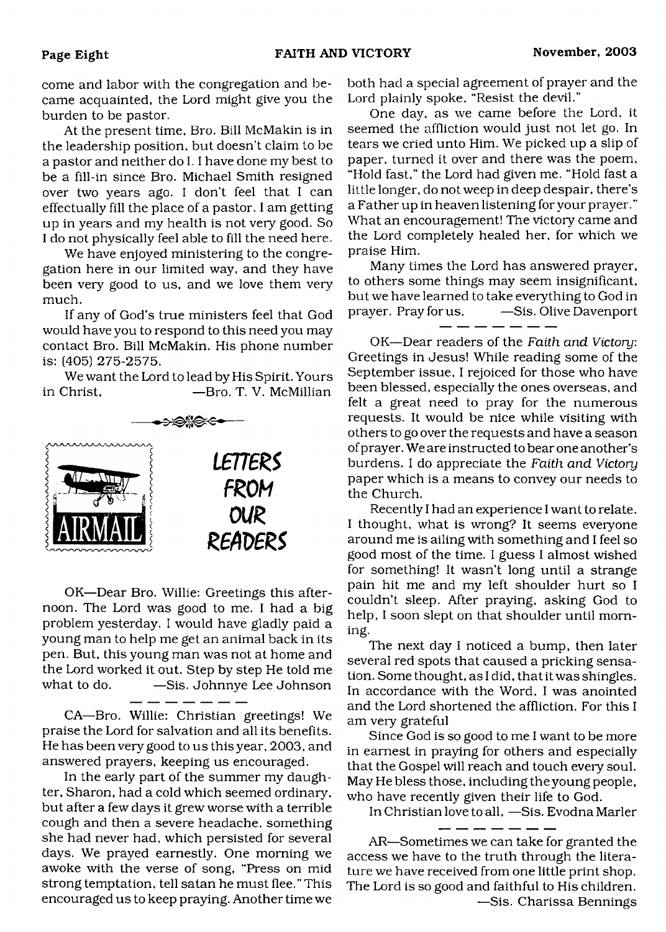come and labor with the congregation and became acquainted, the Lord might give you the burden to be pastor.

At the present time, Bro. Bill McMakin is in the leadership position, but doesn't claim to be a pastor and neither do 1.1 have done my best to be a fill-in since Bro. Michael Smith resigned over two years ago. I don't feel that I can effectually fill the place of a pastor. I am getting up in years and my health is not very good. So I do not physically feel able to fill the need here.

We have enjoyed ministering to the congregation here in our limited way, and they have been very good to us, and we love them very much.

If any of God's true ministers feel that God would have you to respond to this need you may contact Bro. Bill McMakin. His phone number is: (405) 275-2575.

We want the Lord to lead by His Spirit. Yours in Christ, —Bro. T. V. McMillian



OK—Dear Bro. Willie: Greetings this afternoon. The Lord was good to me. I had a big problem yesterday. I would have gladly paid a young man to help me get an animal back in its pen. But, this young man was not at home and the Lord worked it out. Step by step He told me what to do. — Sis. Johnnye Lee Johnson

CA—Bro. Willie: Christian greetings! We praise the Lord for salvation and all its benefits. He has been very good to us this year, 2003, and answered prayers, keeping us encouraged.

- -- -- -- -- -

In the early part of the summer my daughter, Sharon, had a cold which seemed ordinary, but after a few days it grew worse with a terrible cough and then a severe headache, something she had never had, which persisted for several days. We prayed earnestly. One morning we awoke with the verse of song, "Press on mid strong temptation, tell satan he must flee." This encouraged us to keep praying. Another time we

both had a special agreement of prayer and the Lord plainly spoke, "Resist the devil."

One day, as we came before the Lord, it seemed the affliction would just not let go. In tears we cried unto Him. We picked up a slip of paper, turned it over and there was the poem, "Hold fast," the Lord had given me. "Hold fast a little longer, do not weep in deep despair, there's a Father up in heaven listening for your prayer. " What an encouragement! The victory came and the Lord completely healed her, for which we praise Him.

Many times the Lord has answered prayer, to others some things may seem insignificant, but we have learned to take everything to God in prayer. Pray for us,  $-$ Sis. Olive Davenport

OK—Dear readers of the *Faith and Victory:* Greetings in Jesus! While reading some of the September issue, I rejoiced for those who have been blessed, especially the ones overseas, and felt a great need to pray for the numerous requests. It would be nice while visiting with others to go over the requests and have a season of prayer. We are instructed to bear one another's burdens. I do appreciate the *Faith and Victory* paper which is a means to convey our needs to the Church.

Recently I had an experience I want to relate. I thought, what is wrong? It seems everyone around me is ailing with something and I feel so good most of the time. I guess I almost wished for something! It wasn't long until a strange pain hit me and my left shoulder hurt so I couldn't sleep. After praying, asking God to help, I soon slept on that shoulder until morning.

The next day I noticed a bump, then later several red spots that caused a pricking sensation. Some thought, as I did, that it was shingles. In accordance with the Word, I was anointed and the Lord shortened the affliction. For this I am very grateful

Since God is so good to me I want to be more in earnest in praying for others and especially that the Gospel will reach and touch every soul. May He bless those, including the young people, who have recently given their life to God.

In Christian love to all, —Sis. Evodna Marler

AR—Sometimes we can take for granted the access we have to the truth through the literature we have received from one little print shop. The Lord is so good and faithful to His children. —Sis. Charissa Bennings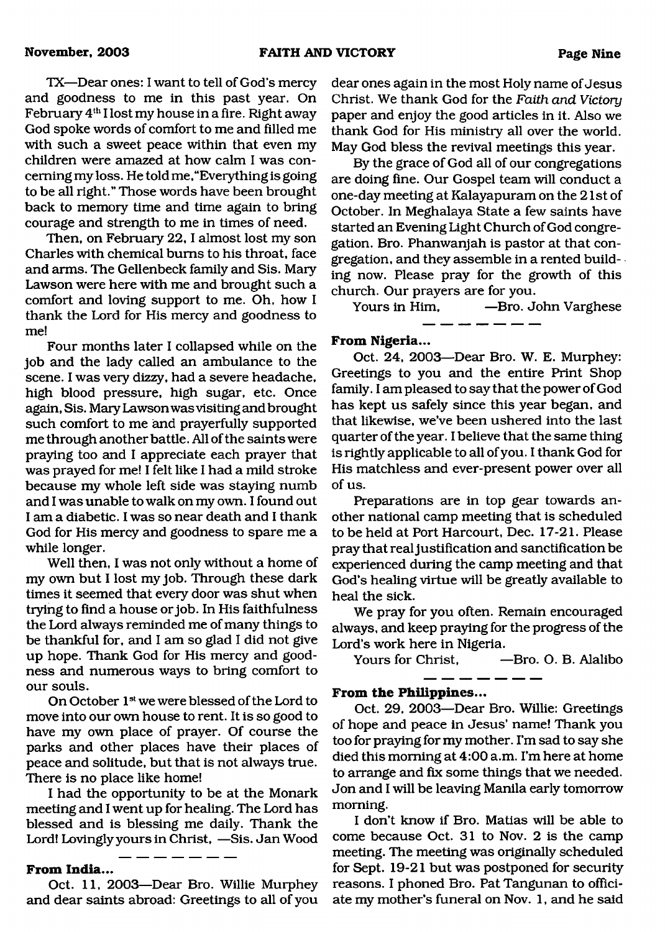TX—Dear ones: I want to tell of God's mercy and goodness to me in this past year. On February  $4<sup>th</sup>$  I lost my house in a fire. Right away God spoke words of comfort to me and filled me with such a sweet peace within that even my children were amazed at how calm I was concerning my loss. He told me, "Everything is going to be all right." Those words have been brought back to memory time and time again to bring courage and strength to me in times of need.

Then, on February 22, I almost lost my son Charles with chemical bums to his throat, face and arms. The Gellenbeck family and Sis. Mary Lawson were here with me and brought such a comfort and loving support to me. Oh, how I thank the Lord for His mercy and goodness to me!

Four months later I collapsed while on the job and the lady called an ambulance to the scene. I was very dizzy, had a severe headache, high blood pressure, high sugar, etc. Once again, Sis. Mary Lawson was visiting and brought such comfort to me and prayerfully supported me through another battle. All of the saints were praying too and I appreciate each prayer that was prayed for me! I felt like I had a mild stroke because my whole left side was staying numb and I was unable to walk on my own. I found out I am a diabetic. I was so near death and I thank God for His mercy and goodness to spare me a while longer.

Well then, I was not only without a home of my own but I lost my job. Through these dark times it seemed that every door was shut when trying to find a house or job. In His faithfulness the Lord always reminded me of many things to be thankful for, and I am so glad I did not give up hope. Thank God for His mercy and goodness and numerous ways to bring comfort to our souls.

On October 1<sup>st</sup> we were blessed of the Lord to move into our own house to rent. It is so good to have my own place of prayer. Of course the parks and other places have their places of peace and solitude, but that is not always true. There is no place like home!

I had the opportunity to be at the Monark meeting and I went up for healing. The Lord has blessed and is blessing me daily. Thank the Lord! Lovingly yours in Christ, —Sis. Jan Wood

#### **From India...**

Oct. 11, 2003—Dear Bro. Willie Murphey and dear saints abroad: Greetings to all of you dear ones again in the most Holy name of Jesus Christ. We thank God for the *Faith and Victory* paper and enjoy the good articles in it. Also we thank God for His ministry all over the world. May God bless the revival meetings this year.

By the grace of God all of our congregations are doing fine. Our Gospel team will conduct a one-day meeting at Kalayapuram on the 21st of October. In Meghalaya State a few saints have started an Evening Light Church of God congregation. Bro. Phanwanjah is pastor at that congregation, and they assemble in a rented building now. Please pray for the growth of this church. Our prayers are for you.

Yours in Him, —Bro. John Varghese

\_\_\_\_\_\_\_\_\_\_\_

## **From Nigeria...**

Oct. 24, 2003—Dear Bro. W. E. Murphey: Greetings to you and the entire Print Shop family. I am pleased to say that the power of God has kept us safely since this year began, and that likewise, we've been ushered into the last quarter of the year. I believe that the same thing is rightly applicable to all of you. I thank God for His matchless and ever-present power over all of us.

Preparations are in top gear towards another national camp meeting that is scheduled to be held at Port Harcourt, Dec. 17-21. Please pray that real justification and sanctification be experienced during the camp meeting and that God's healing virtue will be greatly available to heal the sick.

We pray for you often. Remain encouraged always, and keep praying for the progress of the Lord's work here in Nigeria.

Yours for Christ. — Bro. O. B. Alalibo - -- -- -- -- --

#### **From the Philippines...**

Oct. 29, 2003—Dear Bro. Willie: Greetings of hope and peace in Jesus' name! Thank you too for praying for my mother. I'm sad to say she died this morning at 4:00 a.m. I'm here at home to arrange and fix some things that we needed. Jon and I will be leaving Manila early tomorrow morning.

I don't know if Bro. Matias will be able to come because Oct. 31 to Nov. 2 is the camp meeting. The meeting was originally scheduled for Sept. 19-21 but was postponed for security reasons. I phoned Bro. Pat Tangunan to officiate my mother's funeral on Nov. 1, and he said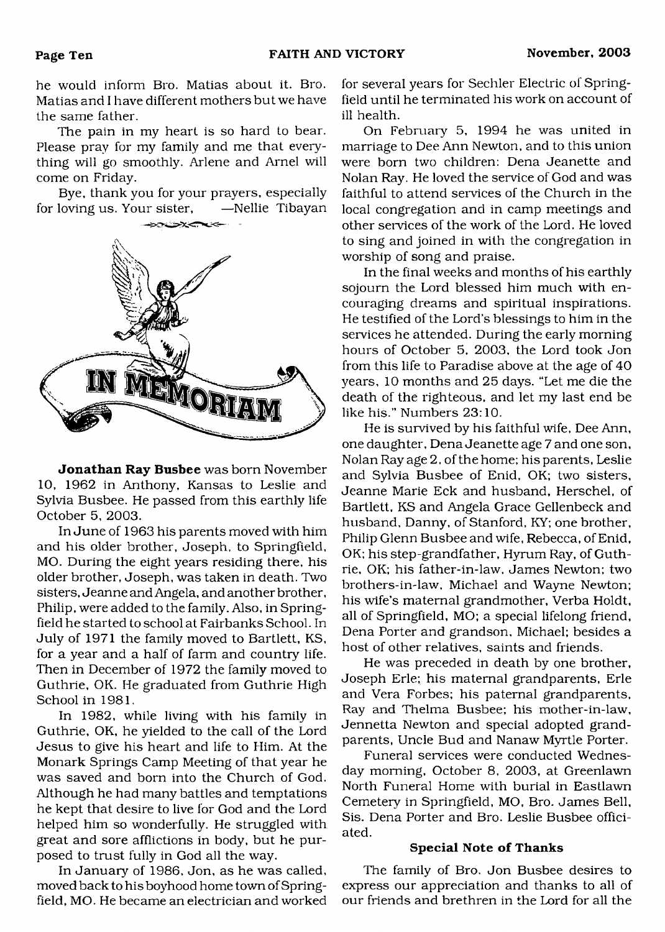he would inform Bro. Mafias about it. Bro. Mafias and I have different mothers but we have the same father.

The pain in my heart is so hard to bear. Please pray for my family and me that everything will go smoothly. Arlene and Arnel will come on Friday.

Bye, thank you for your prayers, especially<br>loving us. Your sister. —Nellie Tibavan for loving us. Your sister,



**Jonathan Ray Busbee** was born November 10, 1962 in Anthony, Kansas to Leslie and Sylvia Busbee. He passed from this earthly life October 5, 2003.

In June of 1963 his parents moved with him and his older brother, Joseph, to Springfield, MO. During the eight years residing there, his older brother, Joseph, was taken in death. Two sisters, Jeanne and Angela, and another brother, Philip, were added to the family. Also, in Springfield he started to school at Fairbanks School. In July of 1971 the family moved to Bartlett, KS, for a year and a half of farm and country life. Then in December of 1972 the family moved to Guthrie, OK. He graduated from Guthrie High School in 1981.

In 1982, while living with his family in Guthrie, OK, he yielded to the call of the Lord Jesus to give his heart and life to Him. At the Monark Springs Camp Meeting of that year he was saved and born into the Church of God. Although he had many battles and temptations he kept that desire to live for God and the Lord helped him so wonderfully. He struggled with great and sore afflictions in body, but he purposed to trust fully in God all the way.

In January of 1986, Jon, as he was called, moved back to his boyhood home town of Springfield, MO. He became an electrician and worked for several years for Sechler Electric of Springfield until he terminated his work on account of ill health.

On February 5, 1994 he was united in marriage to Dee Ann Newton, and to this union were born two children: Dena Jeanette and Nolan Ray. He loved the service of God and was faithful to attend services of the Church in the local congregation and in camp meetings and other services of the work of the Lord. He loved to sing and joined in with the congregation in worship of song and praise.

In the final weeks and months of his earthly sojourn the Lord blessed him much with encouraging dreams and spiritual inspirations. He testified of the Lord's blessings to him in the services he attended. During the early morning hours of October 5, 2003, the Lord took Jon from this life to Paradise above at the age of 40 years, 10 months and 25 days. "Let me die the death of the righteous, and let my last end be like his." Numbers 23:10.

He is survived by his faithful wife, Dee Ann, one daughter, Dena Jeanette age 7 and one son, Nolan Ray age 2, of the home; his parents, Leslie and Sylvia Busbee of Enid, OK; two sisters, Jeanne Marie Eck and husband, Herschel, of Bartlett, KS and Angela Grace Gellenbeck and husband, Danny, of Stanford, KY; one brother, Philip Glenn Busbee and wife, Rebecca, of Enid, OK; his step-grandfather, Hyrum Ray, of Guthrie, OK; his father-in-law, James Newton; two brothers-in-law, Michael and Wayne Newton; his wife's maternal grandmother, Verba Holdt, all of Springfield, MO; a special lifelong friend, Dena Porter and grandson, Michael; besides a host of other relatives, saints and friends.

He was preceded in death by one brother, Joseph Erie; his maternal grandparents, Erie and Vera Forbes; his paternal grandparents, Ray and Thelma Busbee; his mother-in-law, Jennetta Newton and special adopted grandparents, Uncle Bud and Nanaw Myrtle Porter.

Funeral services were conducted Wednesday morning, October 8, 2003, at Greenlawn North Funeral Home with burial in Eastlawn Cemetery in Springfield, MO, Bro. James Bell, Sis. Dena Porter and Bro. Leslie Busbee officiated.

#### **Special Note of Thanks**

The family of Bro. Jon Busbee desires to express our appreciation and thanks to all of our friends and brethren in the Lord for all the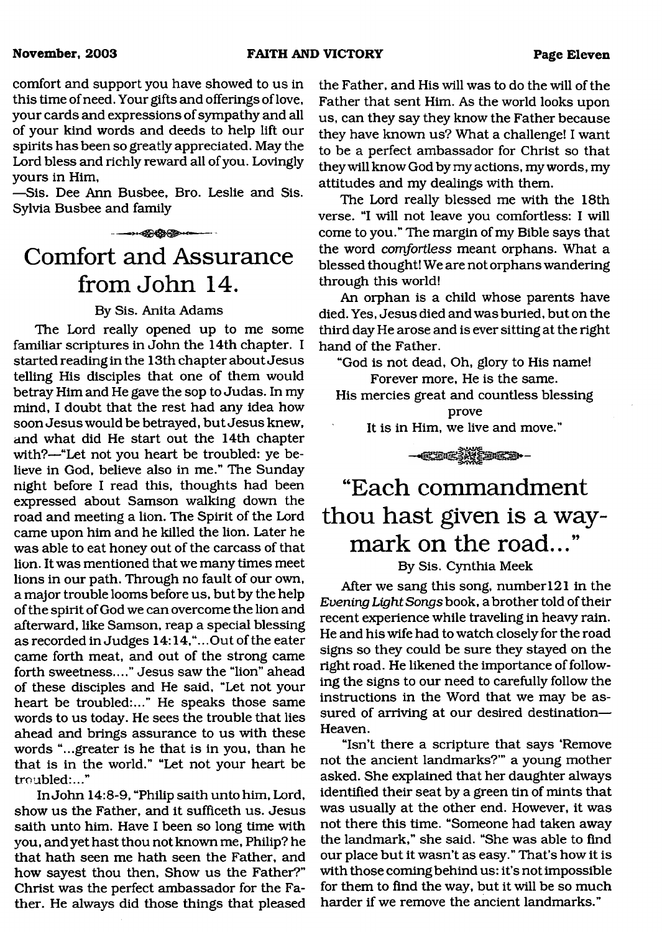comfort and support you have showed to us in this time of need. Your gifts and offerings of love, your cards and expressions of sympathy and all of your kind words and deeds to help lift our spirits has been so greatly appreciated. May the Lord bless and richly reward all of you. Lovingly yours in Him,

—Sis. Dee Ann Busbee, Bro. Leslie and Sis. Sylvia Busbee and family

#### ------------

# **Comfort and Assurance from John 14.**

### By Sis. Anita Adams

The Lord really opened up to me some familiar scriptures in John the 14th chapter. I started reading in the 13th chapter about Jesus telling His disciples that one of them would betray Him and He gave the sop to Judas. In my mind, I doubt that the rest had any idea how soon Jesus would be betrayed, but Jesus knew, and what did He start out the 14th chapter with?—"Let not you heart be troubled: ye believe in God, believe also in me." The Sunday night before I read this, thoughts had been expressed about Samson walking down the road and meeting a lion. The Spirit of the Lord came upon him and he killed the lion. Later he was able to eat honey out of the carcass of that lion. It was mentioned that we many times meet lions in our path. Through no fault of our own, a major trouble looms before us, but by the help of the spirit of God we can overcome the lion and afterward, like Samson, reap a special blessing as recorded in Judges 14:14,"...Out of the eater came forth meat, and out of the strong came forth sweetness...." Jesus saw the "lion" ahead of these disciples and He said, "Let not your heart be troubled:..." He speaks those same words to us today. He sees the trouble that lies ahead and brings assurance to us with these words "...greater is he that is in you, than he that is in the world." "Let not your heart be troubled:..."

In John 14:8-9, "Philip saith unto him, Lord, show us the Father, and it sufficeth us. Jesus saith unto him. Have I been so long time with you, and yet hast thou not known me, Philip? he that hath seen me hath seen the Father, and how sayest thou then, Show us the Father?" Christ was the perfect ambassador for the Father. He always did those things that pleased the Father, and His will was to do the will of the Father that sent Him. As the world looks upon us, can they say they know the Father because they have known us? What a challenge! I want to be a perfect ambassador for Christ so that they will know God by my actions, my words, my attitudes and my dealings with them.

The Lord really blessed me with the 18th verse. "I will not leave you comfortless: I will come to you." The margin of my Bible says that the word *comfortless* meant orphans. What a blessed thought! We are not orphans wandering through this world!

An orphan is a child whose parents have died. Yes, Jesus died and was buried, but on the third day He arose and is ever sitting at the right hand of the Father.

"God is not dead, Oh, glory to His name! Forever more, He is the same.

His mercies great and countless blessing prove

It is in Him, we live and move."



# **"Each commandment thou hast given is a waymark on the road..."**

By Sis. Cynthia Meek

After we sang this song, number 121 in the *Evening Light Songs* book, a brother told of their recent experience while traveling in heavy rain. He and his wife had to watch closely for the road signs so they could be sure they stayed on the right road. He likened the importance of following the signs to our need to carefully follow the instructions in the Word that we may be assured of arriving at our desired destination— Heaven.

"Isn't there a scripture that says 'Remove not the ancient landmarks?'" a young mother asked. She explained that her daughter always identified their seat by a green tin of mints that was usually at the other end. However, it was not there this time. "Someone had taken away the landmark," she said. "She was able to find our place but it wasn't as easy." That's how it is with those coming behind us: it's not impossible for them to find the way, but it will be so much harder if we remove the ancient landmarks."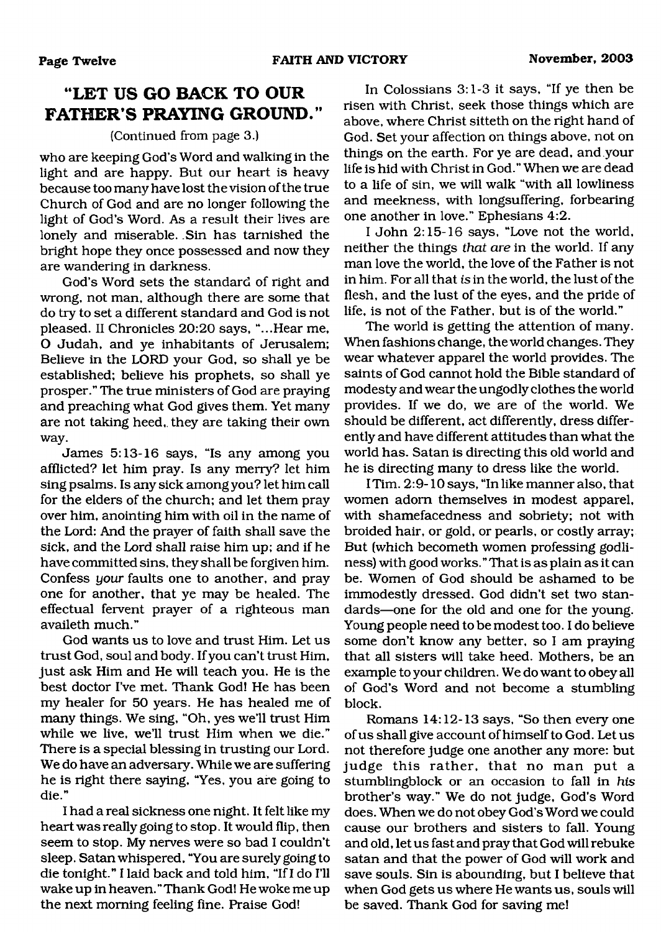# **'LET US GO BACK TO OUR FATHER'S PRAYING GROUND."**

#### (Continued from page 3.)

who are keeping God's Word and walking in the light and are happy. But our heart is heavy because too many have lost the vision of the true Church of God and are no longer following the light of God's Word. As a result their lives are lonely and miserable. Sin has tarnished the bright hope they once possessed and now they are wandering in darkness.

God's Word sets the standard of right and wrong, not man, although there are some that do try to set a different standard and God is not pleased. II Chronicles 20:20 says, "...Hear me, O Judah, and ye inhabitants of Jerusalem; Believe in the LORD your God, so shall ye be established; believe his prophets, so shall ye prosper." The true ministers of God are praying and preaching what God gives them. Yet many are not taking heed,, they are taking their own way.

James 5:13-16 says, "Is any among you afflicted? let him pray. Is any merry? let him sing psalms. Is any sick among you? let him call for the elders of the church; and let them pray over him, anointing him with oil in the name of the Lord: And the prayer of faith shall save the sick, and the Lord shall raise him up; and if he have committed sins, they shall be forgiven him. Confess *your* faults one to another, and pray one for another, that ye may be healed. The effectual fervent prayer of a righteous man availeth much."

God wants us to love and trust Him. Let us trust God, soul and body. If you can't trust Him, just ask Him and He will teach you. He is the best doctor I've met. Thank God! He has been my healer for 50 years. He has healed me of many things. We sing, "Oh, yes we'll trust Him while we live, we'll trust Him when we die." There is a special blessing in trusting our Lord. We do have an adversary. While we are suffering he is right there saying, "Yes, you are going to die."

I had a real sickness one night. It felt like my heart was really going to stop. It would flip, then seem to stop. My nerves were so bad I couldn't sleep. Satan whispered, "You are surely going to die tonight." I laid back and told him, "If I do I'll wake up in heaven. " Thank God! He woke me up the next morning feeling fine. Praise God!

In Colossians 3:1-3 it says, "If ye then be risen with Christ, seek those things which are above, where Christ sitteth on the right hand of God. Set your affection on things above, not on things on the earth. For ye are dead, and your life is hid with Christ in God." When we are dead to a life of sin, we will walk "with all lowliness and meekness, with longsuffering, forbearing one another in love." Ephesians 4:2.

I John 2:15-16 says, "Love not the world, neither the things *that are* in the world. If any man love the world, the love of the Father is not in him. For all that *is* in the world, the lust of the flesh, and the lust of the eyes, and the pride of life, is not of the Father, but is of the world."

The world is getting the attention of many. When fashions change, the world changes. They wear whatever apparel the world provides. The saints of God cannot hold the Bible standard of modesty and wear the ungodly clothes the world provides. If we do, we are of the world. We should be different, act differently, dress differently and have different attitudes than what the world has. Satan is directing this old world and he is directing many to dress like the world.

I Tim. 2:9-10 says, "In like manner also, that women adorn themselves in modest apparel, with shamefacedness and sobriety; not with broided hair, or gold, or pearls, or costly array; But (which becometh women professing godliness) with good works." That is as plain as it can be. Women of God should be ashamed to be immodestly dressed. God didn't set two standards—one for the old and one for the young. Young people need to be modest too. I do believe some don't know any better, so I am praying that all sisters will take heed. Mothers, be an example to your children. We do want to obey all of God's Word and not become a stumbling block.

Romans 14:12-13 says, "So then every one of us shall give account of himself to God. Let us not therefore judge one another any more: but judge this rather, that no man put a stumblingblock or an occasion to fall in *his* brother's way." We do not judge, God's Word does. When we do not obey God's Word we could cause our brothers and sisters to fall. Young and old, let us fast and pray that God will rebuke satan and that the power of God will work and save souls. Sin is abounding, but I believe that when God gets us where He wants us, souls will be saved. Thank God for saving me!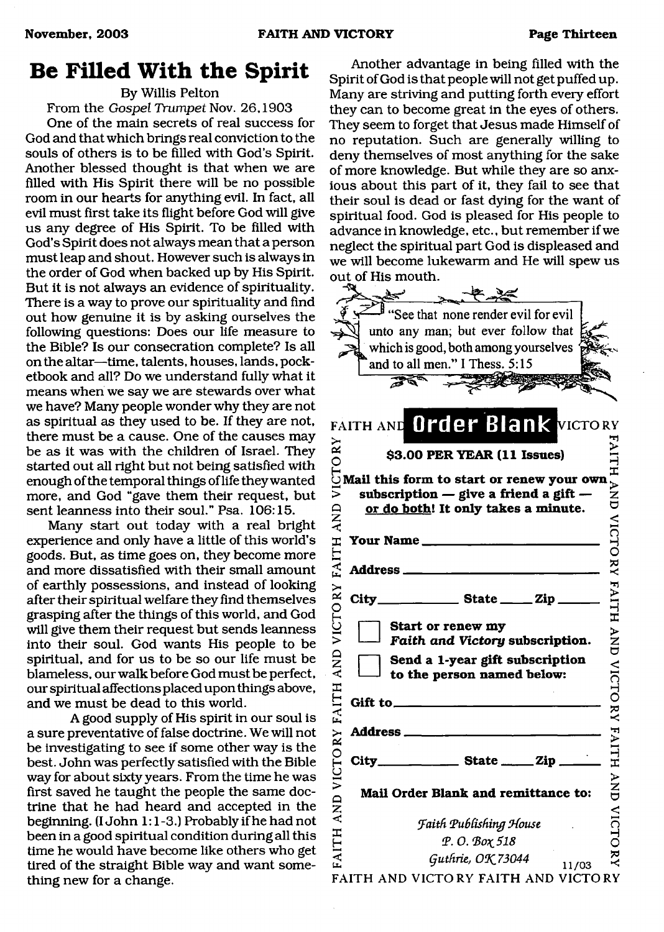# **Be Filled With the Spirit**

By Willis Pelton

From the *Gospel Trumpet* Nov. 26,1903

One of the main secrets of real success for God and that which brings real conviction to the souls of others is to be filled with God's Spirit. Another blessed thought is that when we are filled with His Spirit there will be no possible room in our hearts for anything evil. In fact, all evil must first take its flight before God will give us any degree of His Spirit. To be filled with God's Spirit does not always mean that a person must leap and shout. However such is always in the order of God when backed up by His Spirit. But it is not always an evidence of spirituality. There is a way to prove our spirituality and find out how genuine it is by asking ourselves the following questions: Does our life measure to the Bible? Is our consecration complete? Is all on the altar—time, talents, houses, lands, pocketbook and all? Do we understand fully what it means when we say we are stewards over what we have? Many people wonder why they are not as spiritual as they used to be. If they are not, there must be a cause. One of the causes may be as it was with the children of Israel. They started out all right but not being satisfied with enough of the temporal things of life they wanted more, and God "gave them their request, but sent leanness into their soul." Psa. 106:15.

Many start out today with a real bright experience and only have a little of this world's goods. But, as time goes on, they become more and more dissatisfied with their small amount of earthly possessions, and instead of looking after their spiritual welfare they find themselves grasping after the things of this world, and God will give them their request but sends leanness into their soul. God wants His people to be spiritual, and for us to be so our life must be blameless, our walk before God must be perfect, our spiritual affections placed upon things above, and we must be dead to this world.

A good supply of His spirit in our soul is a sure preventative of false doctrine. We will not be investigating to see if some other way is the best. John was perfectly satisfied with the Bible way for about sixty years. From the time he was first saved he taught the people the same doctrine that he had heard and accepted in the beginning. (I John 1:1-3.) Probably if he had not been in a good spiritual condition during all this time he would have become like others who get tired of the straight Bible way and want something new for a change.

Another advantage in being filled with the Spirit of God is that people will not get puffed up. Many are striving and putting forth every effort they can to become great in the eyes of others. They seem to forget that Jesus made Himself of no reputation. Such are generally willing to deny themselves of most anything for the sake of more knowledge. But while they are so anxious about this part of it, they fail to see that their soul is dead or fast dying for the want of spiritual food. God is pleased for His people to advance in knowledge, etc., but remember if we neglect the spiritual part God is displeased and we will become lukewarm and He will spew us out of His mouth.

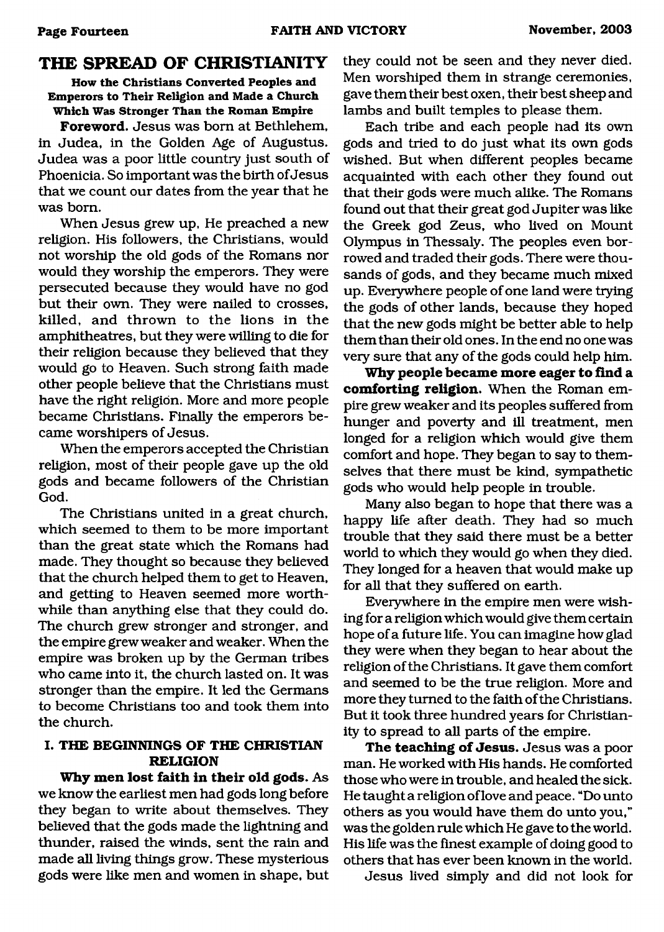# <span id="page-13-0"></span>**THE SPREAD OF CHRISTIANITY**

**How the Christians Converted Peoples and Emperors to Their Religion and Made a Church Which Was Stronger Than the Roman Empire**

**Foreword.** Jesus was bora at Bethlehem, in Judea, in the Golden Age of Augustus. Judea was a poor little country just south of Phoenicia. So important was the birth of Jesus that we count our dates from the year that he was bora.

When Jesus grew up, He preached a new religion. His followers, the Christians, would not worship the old gods of the Romans nor would they worship the emperors. They were persecuted because they would have no god but their own. They were nailed to crosses, killed, and thrown to the lions in the amphitheatres, but they were willing to die for their religion because they believed that they would go to Heaven. Such strong faith made other people believe that the Christians must have the right religion. More and more people became Christians. Finally the emperors became worshipers of Jesus.

When the emperors accepted the Christian religion, most of their people gave up the old gods and became followers of the Christian God.

The Christians united in a great church, which seemed to them to be more important than the great state which the Romans had made. They thought so because they believed that the church helped them to get to Heaven, and getting to Heaven seemed more worthwhile than anything else that they could do. The church grew stronger and stronger, and the empire grew weaker and weaker. When the empire was broken up by the German tribes who came into it, the church lasted on. It was stronger than the empire. It led the Germans to become Christians too and took them into the church.

### **I. THE BEGINNINGS OF THE CHRISTIAN RELIGION**

**Why men lost faith in their old gods.** As we know the earliest men had gods long before they began to write about themselves. They believed that the gods made the lightning and thunder, raised the winds, sent the rain and made all living things grow. These mysterious gods were like men and women in shape, but

they could not be seen and they never died. Men worshiped them in strange ceremonies, gave them their best oxen, their best sheep and lambs and built temples to please them.

Each tribe and each people had its own gods and tried to do just what its own gods wished. But when different peoples became acquainted with each other they found out that their gods were much alike. The Romans found out that their great god Jupiter was like the Greek god Zeus, who lived on Mount Olympus in Thessaly. The peoples even borrowed and traded their gods. There were thousands of gods, and they became much mixed up. Everywhere people of one land were trying the gods of other lands, because they hoped that the new gods might be better able to help them than their old ones. In the end no one was very sure that any of the gods could help him.

Why people became more eager to find a **com forting religion.** When the Roman empire grew weaker and its peoples suffered from hunger and poverty and ill treatment, men longed for a religion which would give them comfort and hope. They began to say to themselves that there must be kind, sympathetic gods who would help people in trouble.

Many also began to hope that there was a happy life after death. They had so much trouble that they said there must be a better world to which they would go when they died. They longed for a heaven that would make up for all that they suffered on earth.

Everywhere in the empire men were wishing for a religion which would give them certain hope of a future life. You can imagine how glad they were when they began to hear about the religion of the Christians. It gave them comfort and seemed to be the true religion. More and more they turned to the faith of the Christians. But it took three hundred years for Christianity to spread to all parts of the empire.

The teaching of Jesus. Jesus was a poor man. He worked with His hands. He comforted those who were in trouble, and healed the sick. He taught a religion of love and peace. "Do unto others as you would have them do unto you," was the golden rule which He gave to the world. His life was the finest example of doing good to others that has ever been known in the world.

Jesus lived simply and did not look for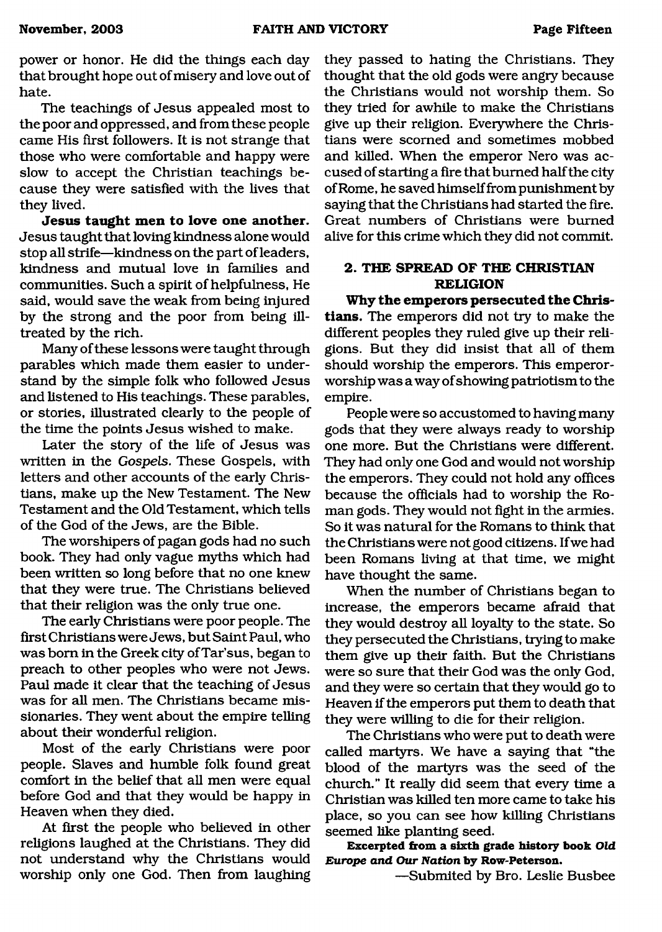power or honor. He did the things each day that brought hope out of misery and love out of hate.

The teachings of Jesus appealed most to the poor and oppressed, and from these people came His first followers. It is not strange that those who were comfortable and happy were slow to accept the Christian teachings because they were satisfied with the lives that they lived.

**Jesus taught men to love one another.** Jesus taught that loving kindness alone would stop all strife—kindness on the part of leaders, kindness and mutual love in families and communities. Such a spirit of helpfulness, He said, would save the weak from being injured by the strong and the poor from being illtreated by the rich.

Many of these lessons were taught through parables which made them easier to understand by the simple folk who followed Jesus and listened to His teachings. These parables, or stories, illustrated clearly to the people of the time the points Jesus wished to make.

Later the story of the life of Jesus was written in the *Gospels.* These Gospels, with letters and other accounts of the early Christians, make up the New Testament. The New Testament and the Old Testament, which tells of the God of the Jews, are the Bible.

The worshipers of pagan gods had no such book. They had only vague myths which had been written so long before that no one knew that they were true. The Christians believed that their religion was the only true one.

The early Christians were poor people. The first Christians were Jews, but Saint Paul, who was bom in the Greek city of Tar'sus, began to preach to other peoples who were not Jews. Paul made it clear that the teaching of Jesus was for all men. The Christians became missionaries. They went about the empire telling about their wonderful religion.

Most of the early Christians were poor people. Slaves and humble folk found great comfort in the belief that all men were equal before God and that they would be happy in Heaven when they died.

At first the people who believed in other religions laughed at the Christians. They did not understand why the Christians would worship only one God. Then from laughing

they passed to hating the Christians. They thought that the old gods were angry because the Christians would not worship them. So they tried for awhile to make the Christians give up their religion. Everywhere the Christians were scorned and sometimes mobbed and killed. When the emperor Nero was accused of starting a fire that burned half the city of Rome, he saved himself from punishment by saying that the Christians had started the fire. Great numbers of Christians were burned alive for this crime which they did not commit.

### **2. THE SPREAD OF THE CHRISTIAN RELIGION**

**Why the emperors persecuted the Christians.** The emperors did not try to make the different peoples they ruled give up their religions. But they did insist that all of them should worship the emperors. This emperorworship was a way of showing patriotism to the empire.

People were so accustomed to having many gods that they were always ready to worship one more. But the Christians were different. They had only one God and would not worship the emperors. They could not hold any offices because the officials had to worship the Roman gods. They would not fight in the armies. So it was natural for the Romans to think that the Christians were not good citizens. If we had been Romans living at that time, we might have thought the same.

When the number of Christians began to increase, the emperors became afraid that they would destroy all loyalty to the state. So they persecuted the Christians, trying to make them give up their faith. But the Christians were so sure that their God was the only God, and they were so certain that they would go to Heaven if the emperors put them to death that they were willing to die for their religion.

The Christians who were put to death were called martyrs. We have a saying that "the blood of the martyrs was the seed of the church." It really did seem that every time a Christian was killed ten more came to take his place, so you can see how killing Christians seemed like planting seed.

**Excerpted from a sixth grade history book** *Old Europe and Our Nation* **by Row-Peterson.**

— Submited by Bro. Leslie Busbee